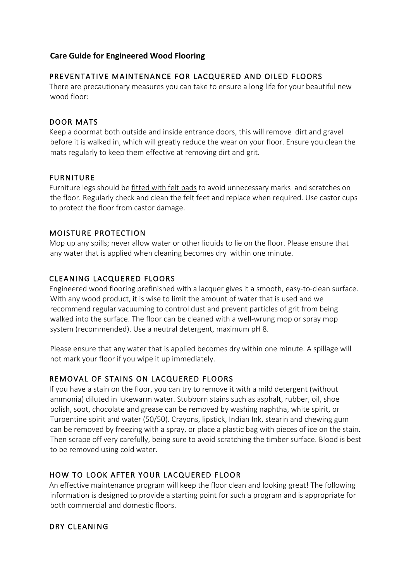### **Care Guide for Engineered Wood Flooring**

### PREVENTATIVE MAINTENANCE FOR LACQUERED AND OILED FLOORS

There are precautionary measures you can take to ensure a long life for your beautiful new wood floor:

#### DOOR MATS

Keep a doormat both outside and inside entrance doors, this will remove dirt and gravel before it is walked in, which will greatly reduce the wear on your floor. Ensure you clean the mats regularly to keep them effective at removing dirt and grit.

#### FURNITURE

Furniture legs should be fitted with felt pads to avoid unnecessary marks and scratches on the floor. Regularly check and clean the felt feet and replace when required. Use castor cups to protect the floor from castor damage.

#### MOISTURE PROTECTION

Mop up any spills; never allow water or other liquids to lie on the floor. Please ensure that any water that is applied when cleaning becomes dry within one minute.

# CLEANING LACQUERED FLOORS

Engineered wood flooring prefinished with a lacquer gives it a smooth, easy-to-clean surface. With any wood product, it is wise to limit the amount of water that is used and we recommend regular vacuuming to control dust and prevent particles of grit from being walked into the surface. The floor can be cleaned with a well-wrung mop or spray mop system (recommended). Use a neutral detergent, maximum pH 8.

Please ensure that any water that is applied becomes dry within one minute. A spillage will not mark your floor if you wipe it up immediately.

# REMOVAL OF STAINS ON LACQUERED FLOORS

If you have a stain on the floor, you can try to remove it with a mild detergent (without ammonia) diluted in lukewarm water. Stubborn stains such as asphalt, rubber, oil, shoe polish, soot, chocolate and grease can be removed by washing naphtha, white spirit, or Turpentine spirit and water (50/50). Crayons, lipstick, Indian Ink, stearin and chewing gum can be removed by freezing with a spray, or place a plastic bag with pieces of ice on the stain. Then scrape off very carefully, being sure to avoid scratching the timber surface. Blood is best to be removed using cold water.

# HOW TO LOOK AFTER YOUR LACQUERED FLOOR

An effective maintenance program will keep the floor clean and looking great! The following information is designed to provide a starting point for such a program and is appropriate for both commercial and domestic floors.

# DRY CLEANING